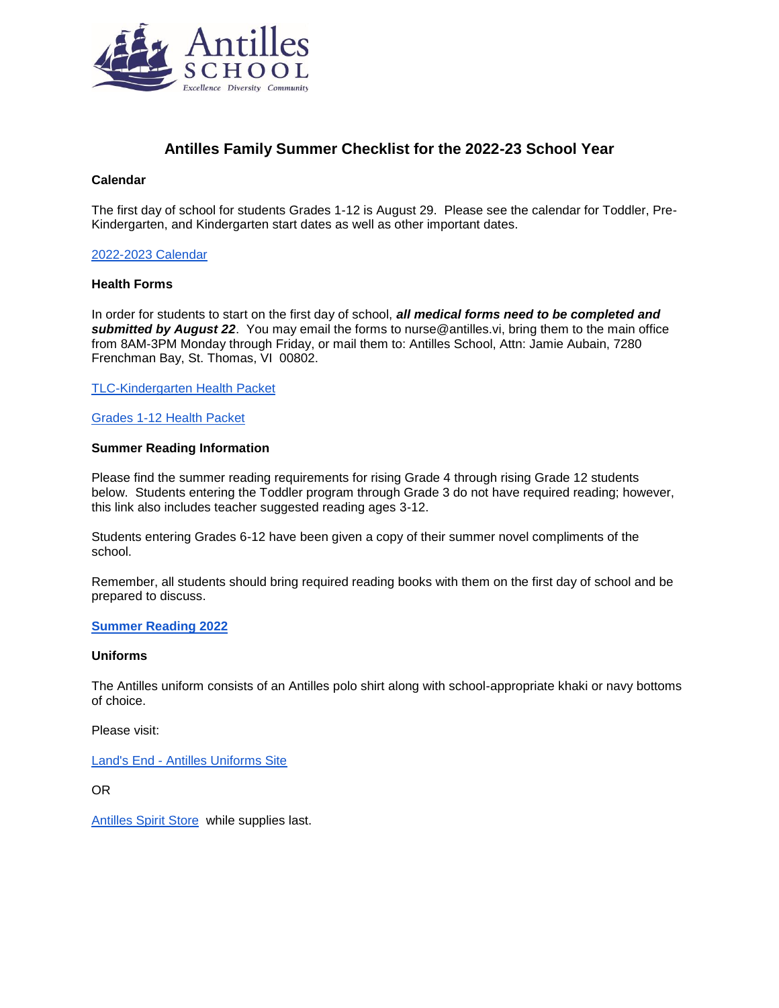

# **Antilles Family Summer Checklist for the 2022-23 School Year**

#### **Calendar**

The first day of school for students Grades 1-12 is August 29. Please see the calendar for Toddler, Pre-Kindergarten, and Kindergarten start dates as well as other important dates.

### [2022-2023 Calendar](https://www.antilles.vi/quicklinks/calendar)

## **Health Forms**

In order for students to start on the first day of school, *all medical forms need to be completed and submitted by August 22*. You may email the forms to nurse@antilles.vi, bring them to the main office from 8AM-3PM Monday through Friday, or mail them to: Antilles School, Attn: Jamie Aubain, 7280 Frenchman Bay, St. Thomas, VI 00802.

[TLC-Kindergarten Health Packet](https://www.antilles.vi/fs/resource-manager/view/d796c690-eee3-4cf8-a979-9573d7968d1a)

#### [Grades 1-12 Health Packet](https://www.antilles.vi/fs/resource-manager/view/3831b6b2-a55e-4ea3-9b85-fd8a17ba9733)

## **Summer Reading Information**

Please find the summer reading requirements for rising Grade 4 through rising Grade 12 students below. Students entering the Toddler program through Grade 3 do not have required reading; however, this link also includes teacher suggested reading ages 3-12.

Students entering Grades 6-12 have been given a copy of their summer novel compliments of the school.

Remember, all students should bring required reading books with them on the first day of school and be prepared to discuss.

#### **[Summer Reading 2022](https://www.antilles.vi/fs/resource-manager/view/966ec645-967d-4565-9189-6f93947251c8)**

#### **Uniforms**

The Antilles uniform consists of an Antilles polo shirt along with school-appropriate khaki or navy bottoms of choice.

Please visit:

Land's End - [Antilles Uniforms Site](https://www.landsend.com/co/account/school-uniforms?selectedSchoolNum=900173956)

OR

[Antilles Spirit Store](https://antilles-spirit-store.myshopify.com/) while supplies last.